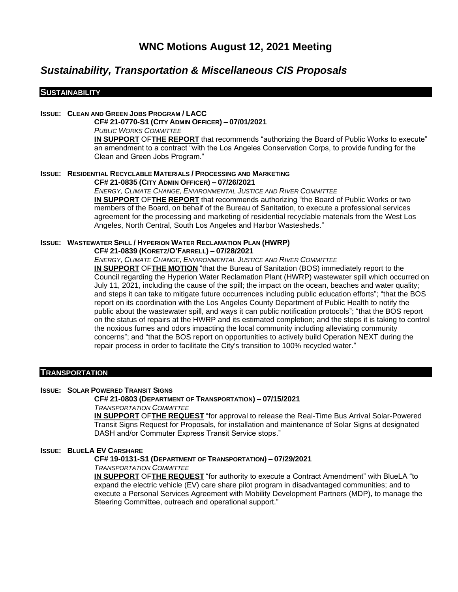# *Sustainability, Transportation & Miscellaneous CIS Proposals*

## **SUSTAINABILITY**

#### **ISSUE: CLEAN AND GREEN JOBS PROGRAM / LACC**

**CF# 21-0770-S1 (CITY ADMIN OFFICER) – 07/01/2021**

*PUBLIC WORKS COMMITTEE*

**IN SUPPORT** OF**THE REPORT** that recommends "authorizing the Board of Public Works to execute" an amendment to a contract "with the Los Angeles Conservation Corps, to provide funding for the Clean and Green Jobs Program."

#### **ISSUE: RESIDENTIAL RECYCLABLE MATERIALS / PROCESSING AND MARKETING**

**CF# 21-0835 (CITY ADMIN OFFICER) – 07/26/2021**

*ENERGY, CLIMATE CHANGE, ENVIRONMENTAL JUSTICE AND RIVER COMMITTEE* **IN SUPPORT** OF**THE REPORT** that recommends authorizing "the Board of Public Works or two members of the Board, on behalf of the Bureau of Sanitation, to execute a professional services agreement for the processing and marketing of residential recyclable materials from the West Los Angeles, North Central, South Los Angeles and Harbor Wastesheds."

#### **ISSUE: WASTEWATER SPILL / HYPERION WATER RECLAMATION PLAN (HWRP)**

## **CF# 21-0839 (KORETZ/O'FARRELL) – 07/28/2021**

*ENERGY, CLIMATE CHANGE, ENVIRONMENTAL JUSTICE AND RIVER COMMITTEE*

**IN SUPPORT** OF**THE MOTION** "that the Bureau of Sanitation (BOS) immediately report to the Council regarding the Hyperion Water Reclamation Plant (HWRP) wastewater spill which occurred on July 11, 2021, including the cause of the spill; the impact on the ocean, beaches and water quality; and steps it can take to mitigate future occurrences including public education efforts"; "that the BOS report on its coordination with the Los Angeles County Department of Public Health to notify the public about the wastewater spill, and ways it can public notification protocols"; "that the BOS report on the status of repairs at the HWRP and its estimated completion; and the steps it is taking to control the noxious fumes and odors impacting the local community including alleviating community concerns"; and "that the BOS report on opportunities to actively build Operation NEXT during the repair process in order to facilitate the City's transition to 100% recycled water."

#### **TRANSPORTATION**

#### **ISSUE: SOLAR POWERED TRANSIT SIGNS**

# **CF# 21-0803 (DEPARTMENT OF TRANSPORTATION) – 07/15/2021**

*TRANSPORTATION COMMITTEE*

**IN SUPPORT** OF**THE REQUEST** "for approval to release the Real-Time Bus Arrival Solar-Powered Transit Signs Request for Proposals, for installation and maintenance of Solar Signs at designated DASH and/or Commuter Express Transit Service stops."

#### **ISSUE: BLUELA EV CARSHARE**

#### **CF# 19-0131-S1 (DEPARTMENT OF TRANSPORTATION) – 07/29/2021** *TRANSPORTATION COMMITTEE*

**IN SUPPORT** OF**THE REQUEST** "for authority to execute a Contract Amendment" with BlueLA "to expand the electric vehicle (EV) care share pilot program in disadvantaged communities; and to execute a Personal Services Agreement with Mobility Development Partners (MDP), to manage the Steering Committee, outreach and operational support."